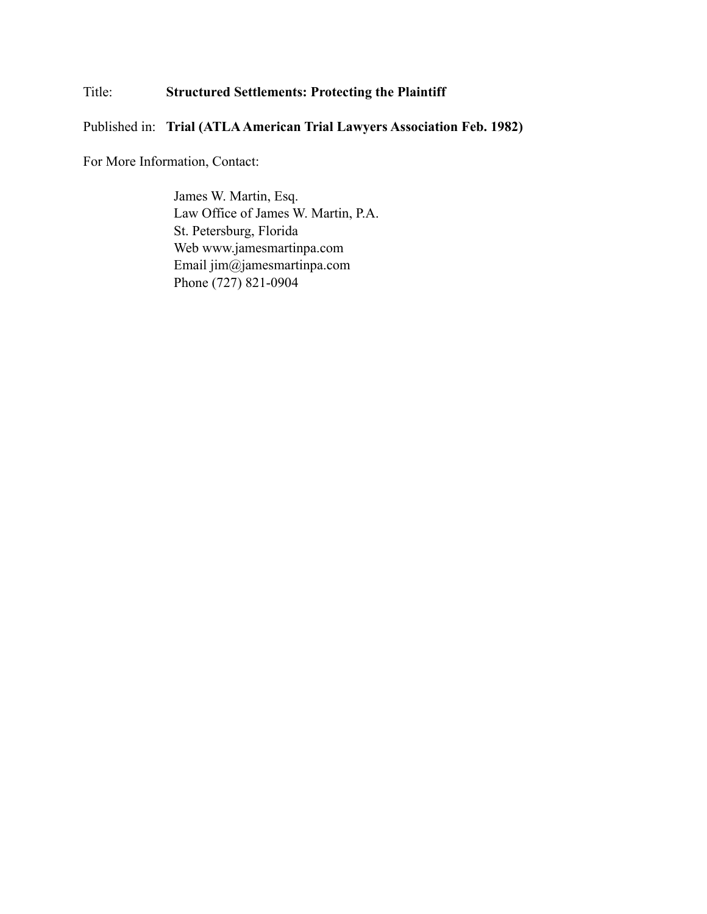## Title: **Structured Settlements: Protecting the Plaintiff**

Published in: **Trial (ATLA American Trial Lawyers Association Feb. 1982)**

For More Information, Contact:

James W. Martin, Esq. Law Office of James W. Martin, P.A. St. Petersburg, Florida Web www.jamesmartinpa.com Email jim@jamesmartinpa.com Phone (727) 821-0904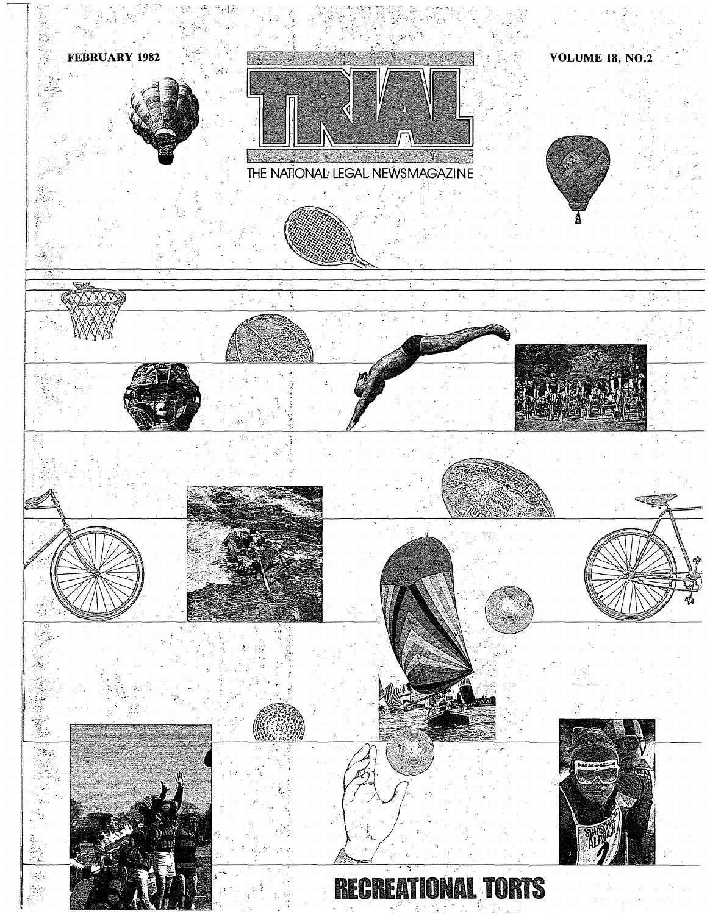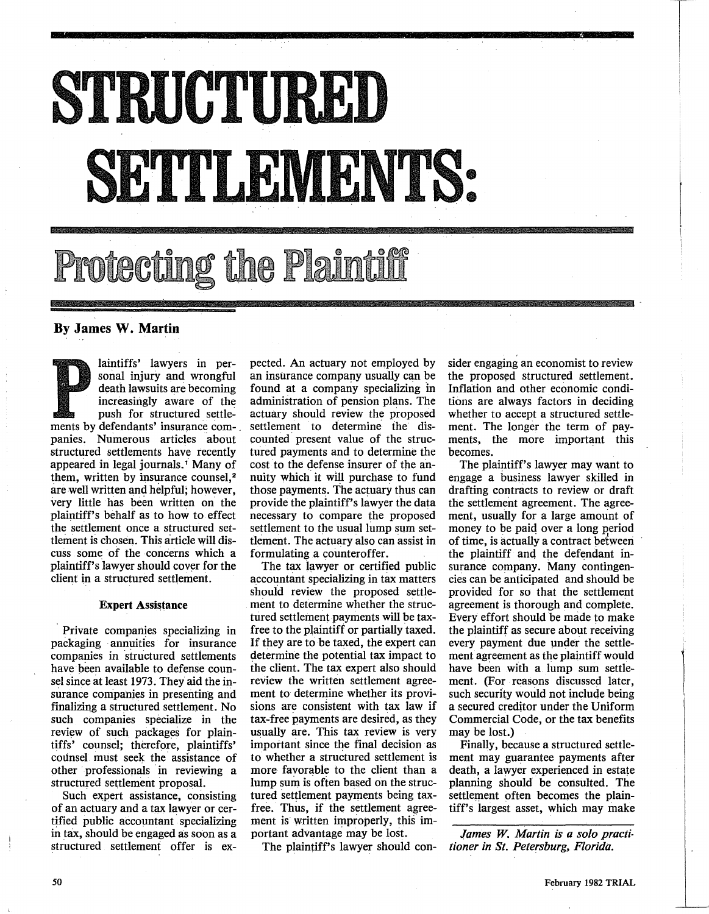## STRUCTURED **)**<br>4 •<br>•<br>•

# cting the I

## **By James W. Martin**

laintiffs' lawyers in personal injury and wrongful death lawsuits are becoming increasingly aware of the push for structured settlements by defendants' insurance com- . panies. Numerous articles about structured settlements have recently appeared in legal journals.<sup>1</sup> Many of them, written by insurance counsel,<sup>2</sup> are well written and helpful; however, very little has been written on the plaintiff's behalf as to how to effect the settlement once a structured settlement is chosen. This article will discuss some of the concerns which a plaintiff's lawyer should cover for the client in a structured settlement.

#### **Expert Assistance**

• Private companies specializing in packaging annuities for insurance companies in structured settlements have been available to defense counsel since at least 1973. They aid the insurance companies in presenting and finalizing a structured settlement. No such companies specialize in the review of such packages for plaintiffs' counsel; therefore, plaintiffs' cotinsel. must seek the assistance of other professionals in reviewing a structured settlement proposal.

Such expert assistance, consisting of an actuary and a tax lawyer or certified public accountant specializing in tax, should be engaged as soon as a structured settlement offer is expected. An actuary not employed by an insurance company usually can be found at a company specializing in administration of pension plans. The actuary should review the proposed settlement to determine the discounted. present value of the structured payments and to determine the cost to the defense insurer of the annuity which it will purchase to fund those payments. The actuary thus can provide the plaintiff's lawyer the data necessary to compare the proposed settlement to the usual lump sum settlement. The actuary also can assist in formulating a counteroffer.

The tax lawyer or certified public accountant specializing in tax matters should review the proposed settlement to determine whether the structured settlement payments will be taxfree to the plaintiff or partially taxed. If they are to be taxed, the expert can determine the potential tax impact to the client. The tax expert also should review the written settlement agreement to determine whether its provisions are consistent with tax law if tax-free payments are desired, as they usually are. This tax review is very important since the final decision as to whether a structured settlement is more favorable to the client than a lump sum is often based on the structured settlement payments being taxfree. Thus, if the settlement agreement is written improperly, this important advantage may be lost.

The plaintiff's lawyer should con-

sider engaging an economist to review the proposed structured settlement. Inflation and other economic conditions are always factors in deciding whether to accept a structured settlement. The longer the term of payments, the more important this becomes.

The plaintiff's lawyer may want to engage a business lawyer skilled in drafting contracts to review or draft the settlement agreement. The agreement, usually for a large amount of money to be paid over a long period of time, is actually a contraet betweeri the plaintiff and the defendant insurance company. **Many** contingencies can be anticipated and should be provided for so that the settlement agreement is thorough and complete. Every effort should be made to make the plaintiff as secure about receiving every payment due under the settlement agreement as the plaintiff would have been with a lump sum settlement. (For reasons discussed later, such security would not include being a secured creditor under the Uniform Commercial Code, or the tax benefits may be lost.)

Finally, because a structured settlement may guarantee payments after death, a lawyer experienced in estate planning should be consulted. The settlement often becomes the plaintiff's largest asset, which may make

James W. Martin is a solo practi*tioner in St. Petersburg, Florida.*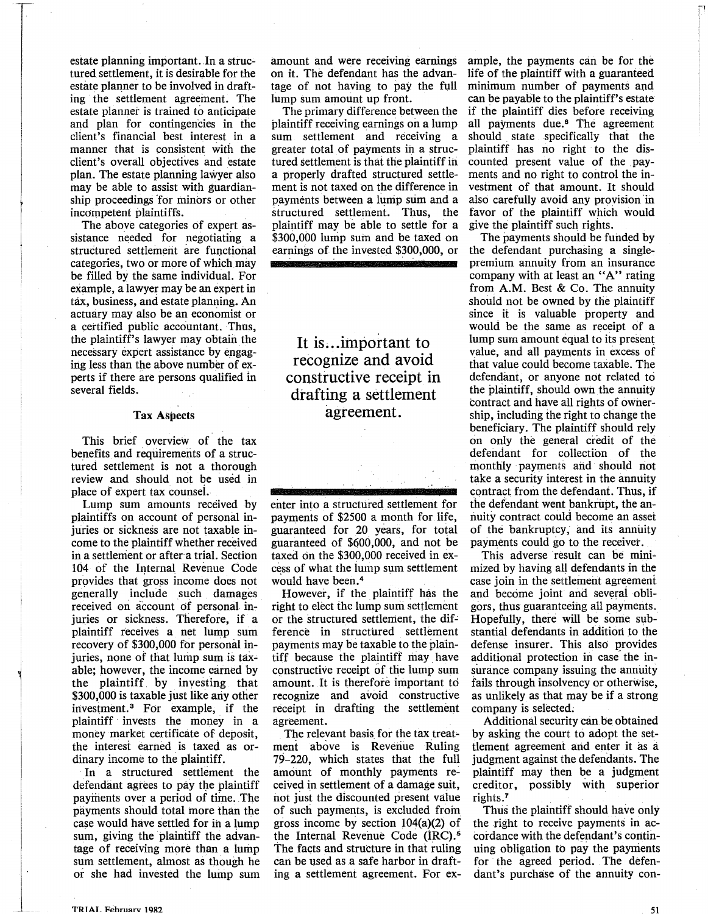estate planning important. In a structured settlement, it is desirable for the estate planner to be involved in drafting the settlement agreement. The estate planner is trained to anticipate and plan for contingencies in the client's financial best interest in a manner that is consistent with the client's overall objectives and estate plan. The estate planning lawyer also may be able to assist with guardianship proceedings for minors or other incompetent plaintiffs.

The above categories of expert assistance needed for negotiating a structured settlement are functional categories, two or more of which may be filled by the same individual. For example, a lawyer may be an expert in tax, business, and estate planning. An actuary may also be an economist or a certified public accountant. Thus, the plaintiff's lawyer may obtain the necessary expert assistance by engaging less than the above number of experts if there are persons qualified in several fields.

#### **Tax Aspects**

This brief overview of the tax benefits and requirements of a structured settlement is not a thorough review and should not be used in place of expert tax counsei.

Lump sum amounts received by plaintiffs on account of personal injuries or sickness are not taxable income to the plaintiff whether received in a settlement or after a trial. Section 104 of the Internal Revenue Code provides that gross income does not generally include such damages received on account of personal injuries or sickness. Therefore, if a plaintiff receives a net lump sum recovery of \$300,000 for personal injuries, none of that lump sum is taxable; however, the income earned by the plaintiff by investing that \$300,000 is taxable just like any other investment.<sup>3</sup> For example, if the plaintiff • invests the money in a money market certificate of deposit, the interest earned is taxed as ordinary income to the plaintiff.

In a structured settlement the defendant agrees to pay the plaintiff payments over a period of time. The payments should total more than the case would have settled for ih a lump sum, giving the plaintiff the advantage of receiving more than a lump sum settlement, almost as though he or she had invested the lump sum

amount and were receiving earnings on it. The defendant has the advantage of not having to pay the full lump sum amount up front.

The primary difference between the plaintiff receiving earnings on a lump sum settlement and receiving a greater total of payments ih a structured settlement is that the plaintiff ih a properly drafted structured settlement is not taxed on the difference in payments between a lump sum and a structured settlement. Thus, the plaintiff may be able to settle for a \$300,000 lump sum and be taxed on earnings of the invested \$300,000, or

It is... important to recognize and avoid constructive receipt in drafting a settlement agreement.



enter into a structured settlement for payments of \$2500 a month for life, guaranteed for 20 years, for total guaranteed of \$600,000, and not be taxed on the \$300,000 received in excess of what the lump sum settlement would have been.<sup>4</sup>

However, if the plaintiff has the right to elect the lump sum settlement or the structured settlement, the difference in structured settlement payments may be taxable to the plaintiff because the plaintiff may have constructive receipt of the lump sum amount. It is therefore important to recognize and avoid constructive receipt in drafting the settlement agreement.

The relevant basis for the tax treatment above is Revenue Ruling 79-220, which states that the full amount of monthly payments received in settlement of a damage suit, not just the discounted present value of such payments, is excluded froin gross income by section 104(a)(2) of the Internal Revenue Code (IRC).<sup>5</sup> The facts and structure in that ruling can be used as a safe harbor in drafting a settlement agreement. For ex-

ample, the payments can be for the life of the plaintiff with a guaranteed minimum number of payments and can be payable to the plaintiff's estate if the plaintiff dies before receiving all payments due. $6$  The agreement should state specifically that the plaintiff has no right to the discounted present value of the payments and no right to control the investment of that amount. It should also carefully avoid any provision in favor of the plaintiff which would give the plaintiff such rights.

The payments should be funded by the defendant purchasing a singlepremium annuity from an insurance company with at least an "A" rating from **A.M.** Best & Co. The annuity should not be owned by the plaintiff since it is valuable property and would be the same as receipt of a lump sum amount equal to its present value, and all payments in excess of that value could become taxable. The defendant, or anyone not related to the plaintiff, should owh the annuity contract and have all rights of ownership, including the right to change the beneficiary. The plaintiff should rely on only the general credit of the defendant for collection of the monthly payments and should not take a security interest in the annuity contract from the defendant. Thus, if the defendant went bankrupt, the annuity contract could become an asset of the bankruptcy, and its annuity payments could go to the receiver.

This adverse result can be mini- mized by having all defendants in the case join in the settlement agreement and become joint and several obligors, thus guaranteeing all payments. Hopefully, there will be some substantial defendants in addition to the defense insurer. This also provides additional protection in case the insurance company issuing the annuity fails through insolvency or otherwise, as unlikely as that may be if a strong company is selected;

Additional security can be obtained by asking the court to adopt the settlement agreement and enter it as a judgment against the defendants. The plaintiff may then be a judgment creditor, possibly with superior rights.<sup>7</sup>

Thus the plaintiff should have only the right to receive payments in accordance with the defendant's continuing obligation to pay the payments for the agreed period. The defendant's purchase of the annuity con-

 $\vert$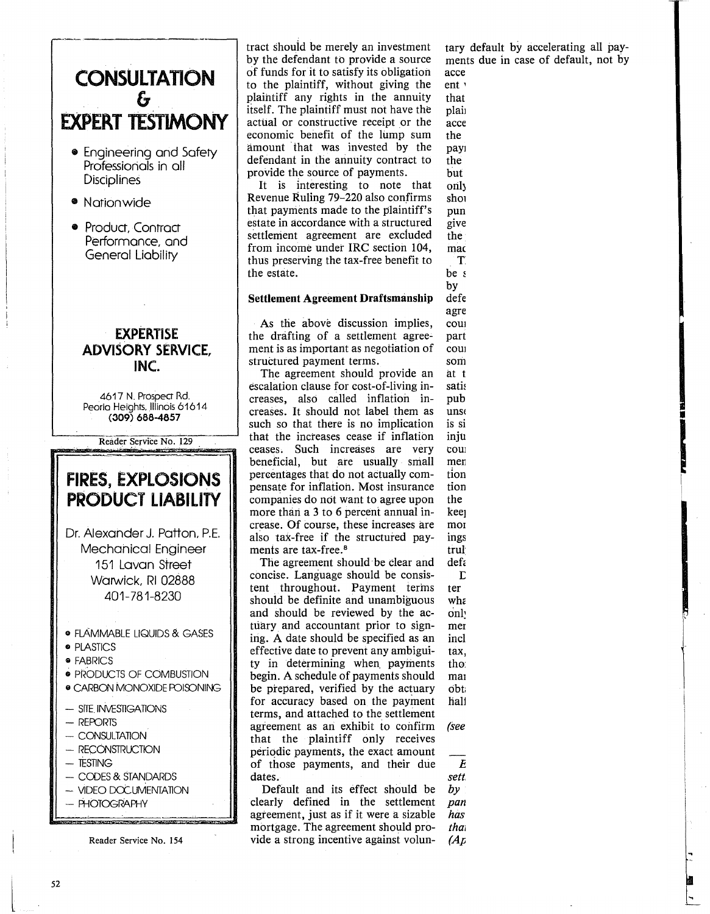

tary default by accelerating all payments due in case of default, not by accelerating just the discounted pres-

ent value. This should not be a right value.  $\mathbf{that}$  $p$ laintiff's income the amount of the amount of the amount of the amount of the amount of the amount of the amount of the amount of the amount of the amount of the amount of the amount of the amount of the amount of the  $\operatorname{acce}$  $the$  $\mathbf{p}$ ayı $\mathbf{p}$  $\mathbf{h}$  the planet can make at any time,  $\mathbf{h}$ but rather is a remedy of the planet of the planet of the planet of the planet of the planet of the planet of the planet of the planet of the planet of the planet of the planet of the planet of the planet of the planet of orily in case of default. It is easily in case of default. It is easily in case of default. It is easily in the  $\alpha$  $\mathbf{s}$ hould not be included in income as  $\mathbf{s}$  $\mathbf p$ unitive damages because it only damages because it only damages because it only damages  $\mathbf p$ gives the planet the planet to receive the right to receive the right to receive  $\mathbf{r}_i$ the payments where  $\rho$ 

. The settlement agreement show  $\mathbf{r}$ be signed, with  $\mathbf{c}$  $\mathbf{b}$  parties to it, planet and  $\mathbf{b}$  and  $\mathbf{b}$  and  $\mathbf{b}$  and  $\mathbf{b}$  and  $\mathbf{b}$  and  $\mathbf{b}$  and  $\mathbf{b}$  and  $\mathbf{b}$  and  $\mathbf{b}$  and  $\mathbf{b}$  and  $\mathbf{b}$  and  $\mathbf{b}$  and  $\mathbf{b}$  and  $\mathbf{b}$  and  $\mathbf$  $\det$ agreement shows a shock of the shock of the submitted to the submitted to the submitted to the submitted to the submitted to the submitted to the submitted to the submitted to the submitted to the submitted to the submitte court for a positive and adoption as  $\alpha$  $part$ court in favor of the planet of the planet of the planet of the planet of the planet of the planet of the planet sometime insurance companies may balk and the companies may balk and the companies may balk and the companies may balk and the companies of the companies of the companies of the companies of the companies of the companies at this, assuming that such an  $\mathcal{A}$ satisfied in the main  $\mathcal{L}$  is the main  $\mathcal{L}$  $\mathbf{pub}$  . The cords for many  $\mathbf{pub}$  $\mathbf{u}$ nsettling, adopting it as a judgment it as a judgment it as a judgment it as a judgment it as a judgment it as  $\mathbf{u}$  $\overline{\text{is si}}$  $\mathbf{i}$ nju $\mathbf{i}$ courts of the with property settlements in marriage dissolution in marriage dissolution of the state of the state of the state of the state of the state of the state of the state of the state of the state of the state of the state of the state of the state tions. The court can retain in the court can retain in the court can retain in the court can retain in the court can retain in the court can retain in the court can retain in the court can retain in the court can retain in tion future proceedings relationships relationships  $\mathcal{L}(\mathbf{r})$  $\mathbf{f}$  the settlement agreement with  $\mathbf{g}$  $\ker$ moniton in dissolution proceed-dissolution proceed-dissolution proceed-dissolution proceed-dissolution proceed<br>In dissolution proceed-dissolution proceed-dissolution proceed-dissolution proceed-dissolution proceed-dissolu  $\log s$  finally, such judgments are not in the notation  $\mathcal{L}$  $\mathbf{trul}$ 

 $\Gamma$  and the set of to enter into a structure settlement and settlement and settlement and settlement and settlement and set where  $\mathbf{w}$  $\text{onl}$  $\mathbf{m}$ ent. The critical phase that follows that follows that follows that follows that follows that follows that follows the critical phase that follows that follows that follows the critical phase that follows that fol  $\int$  includes the assistance of actual,  $\int$  assistance of actual,  $\int$  actual,  $\int$  actual,  $\int$  actual,  $\int$  actual,  $\int$  actual,  $\int$  actual,  $\int$  actual,  $\int$  actual,  $\int$  actual,  $\int$  actual,  $\int$  actual,  $\int$  actual  $\max$ , and other experts, as well as well as well as well as well as well as well as well as well as well as well as well as  $\max$ , and  $\max$  $\mathbf{t}$ hor $\mathbf{t}$ manship and negotiation, in order to the control of the control of the control of the control of the control of  $\mathbf{obt}$  the result bargained for one be $\frac{1}{2}$ i

*Ed. note: The phrase "structured settlement,, is claimed as a trademark by The Structured Settlements Com~ pany,* ti *California partnership, which has* and *registration of <i>example that name. See 67 A.B.A.J. 396* 

half of the plaintiff client. **T** 

mad

defa

*(see References, p. 77)* 

*(April 1981).* 

 $\begin{array}{c} \hline \end{array}$